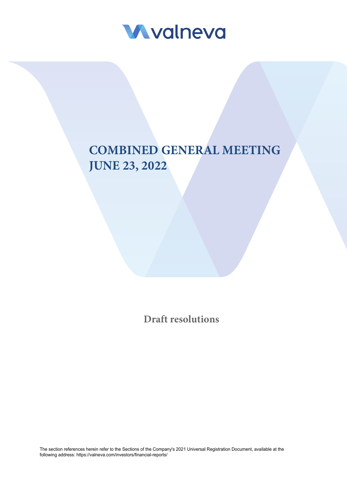

# **COMBINED GENERAL MEETING JUNE 23, 2022**

**Draft resolutions**

The section references herein refer to the Sections of the Company's 2021 Universal Registration Document, available at the following address: <https://valneva.com/investors/financial-reports/>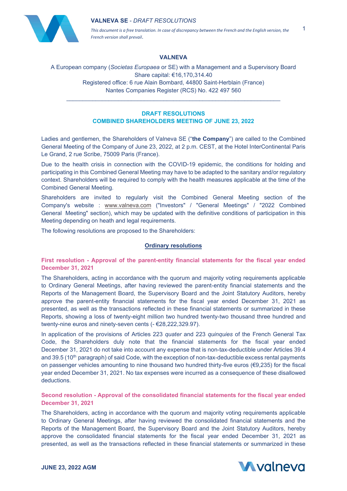

*This document is a free translation. In case of discrepancy between the French and the English version, the French version shall prevail*.

1

## **VALNEVA**

A European company (*Societas Europaea* or SE) with a Management and a Supervisory Board Share capital: €16,170,314.40 Registered office: 6 rue Alain Bombard, 44800 Saint-Herblain (France) Nantes Companies Register (RCS) No. 422 497 560

## **DRAFT RESOLUTIONS COMBINED SHAREHOLDERS MEETING OF JUNE 23, 2022**

\_\_\_\_\_\_\_\_\_\_\_\_\_\_\_\_\_\_\_\_\_\_\_\_\_\_\_\_\_\_\_\_\_\_\_\_\_\_\_\_\_\_\_\_\_\_\_\_\_\_\_\_\_\_\_\_\_\_\_\_\_\_\_\_\_\_

Ladies and gentlemen, the Shareholders of Valneva SE ("**the Company**") are called to the Combined General Meeting of the Company of June 23, 2022, at 2 p.m. CEST, at the Hotel InterContinental Paris Le Grand, 2 rue Scribe, 75009 Paris (France).

Due to the health crisis in connection with the COVID-19 epidemic, the conditions for holding and participating in this Combined General Meeting may have to be adapted to the sanitary and/or regulatory context. Shareholders will be required to comply with the health measures applicable at the time of the Combined General Meeting.

Shareholders are invited to regularly visit the Combined General Meeting section of the Company's website : [www.valneva.com](http://www.valneva.com/) ("Investors" / "General Meetings" / "2022 Combined General Meeting" section), which may be updated with the definitive conditions of participation in this Meeting depending on heath and legal requirements.

The following resolutions are proposed to the Shareholders:

#### **Ordinary resolutions**

**First resolution - Approval of the parent-entity financial statements for the fiscal year ended December 31, 2021** 

The Shareholders, acting in accordance with the quorum and majority voting requirements applicable to Ordinary General Meetings, after having reviewed the parent-entity financial statements and the Reports of the Management Board, the Supervisory Board and the Joint Statutory Auditors, hereby approve the parent-entity financial statements for the fiscal year ended December 31, 2021 as presented, as well as the transactions reflected in these financial statements or summarized in these Reports, showing a loss of twenty-eight million two hundred twenty-two thousand three hundred and twenty-nine euros and ninety-seven cents (- €28,222,329.97).

In application of the provisions of Articles 223 *quater* and 223 *quinquies* of the French General Tax Code, the Shareholders duly note that the financial statements for the fiscal year ended December 31, 2021 do not take into account any expense that is non-tax-deductible under Articles 39.4 and 39.5 (10<sup>th</sup> paragraph) of said Code, with the exception of non-tax-deductible excess rental payments on passenger vehicles amounting to nine thousand two hundred thirty-five euros (€9,235) for the fiscal year ended December 31, 2021. No tax expenses were incurred as a consequence of these disallowed deductions.

## **Second resolution - Approval of the consolidated financial statements for the fiscal year ended December 31, 2021**

The Shareholders, acting in accordance with the quorum and majority voting requirements applicable to Ordinary General Meetings, after having reviewed the consolidated financial statements and the Reports of the Management Board, the Supervisory Board and the Joint Statutory Auditors, hereby approve the consolidated financial statements for the fiscal year ended December 31, 2021 as presented, as well as the transactions reflected in these financial statements or summarized in these

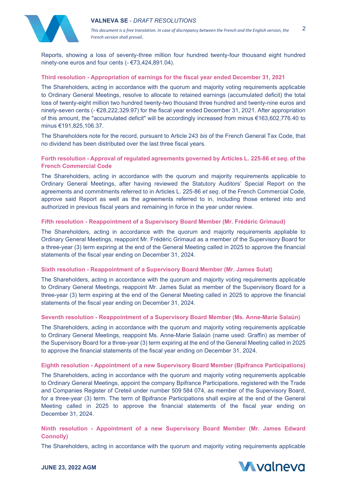



2

Reports, showing a loss of seventy-three million four hundred twenty-four thousand eight hundred ninety-one euros and four cents (- €73,424,891.04).

## **Third resolution - Appropriation of earnings for the fiscal year ended December 31, 2021**

The Shareholders, acting in accordance with the quorum and majority voting requirements applicable to Ordinary General Meetings, resolve to allocate to retained earnings (accumulated deficit) the total loss of twenty-eight million two hundred twenty-two thousand three hundred and twenty-nine euros and ninety-seven cents (- €28,222,329.97) for the fiscal year ended December 31, 2021. After appropriation of this amount, the "accumulated deficit" will be accordingly increased from minus €163,602,776.40 to minus €191,825,106.37.

The Shareholders note for the record, pursuant to Article 243 *bis* of the French General Tax Code, that no dividend has been distributed over the last three fiscal years.

## **Forth resolution - Approval of regulated agreements governed by Articles L. 225-86** *et seq***. of the French Commercial Code**

The Shareholders, acting in accordance with the quorum and majority requirements applicable to Ordinary General Meetings, after having reviewed the Statutory Auditors' Special Report on the agreements and commitments referred to in Articles L. 225-86 *et seq*. of the French Commercial Code, approve said Report as well as the agreements referred to in, including those entered into and authorized in previous fiscal years and remaining in force in the year under review.

## **Fifth resolution - Reappointment of a Supervisory Board Member (Mr. Frédéric Grimaud)**

The Shareholders, acting in accordance with the quorum and majority requirements appliable to Ordinary General Meetings, reappoint Mr. Frédéric Grimaud as a member of the Supervisory Board for a three-year (3) term expiring at the end of the General Meeting called in 2025 to approve the financial statements of the fiscal year ending on December 31, 2024.

#### **Sixth resolution - Reappointment of a Supervisory Board Member (Mr. James Sulat)**

The Shareholders, acting in accordance with the quorum and majority voting requirements applicable to Ordinary General Meetings, reappoint Mr. James Sulat as member of the Supervisory Board for a three-year (3) term expiring at the end of the General Meeting called in 2025 to approve the financial statements of the fiscal year ending on December 31, 2024.

#### **Seventh resolution - Reappointment of a Supervisory Board Member (Ms. Anne-Marie Salaün)**

The Shareholders, acting in accordance with the quorum and majority voting requirements applicable to Ordinary General Meetings, reappoint Ms. Anne-Marie Salaün (name used: Graffin) as member of the Supervisory Board for a three-year (3) term expiring at the end of the General Meeting called in 2025 to approve the financial statements of the fiscal year ending on December 31, 2024.

#### **Eighth resolution - Appointment of a new Supervisory Board Member (Bpifrance Participations)**

The Shareholders, acting in accordance with the quorum and majority voting requirements applicable to Ordinary General Meetings, appoint the company Bpifrance Participations, registered with the Trade and Companies Register of Creteil under number 509 584 074, as member of the Supervisory Board, for a three-year (3) term. The term of Bpifrance Participations shall expire at the end of the General Meeting called in 2025 to approve the financial statements of the fiscal year ending on December 31, 2024.

## **Ninth resolution - Appointment of a new Supervisory Board Member (Mr. James Edward Connolly)**

The Shareholders, acting in accordance with the quorum and majority voting requirements applicable

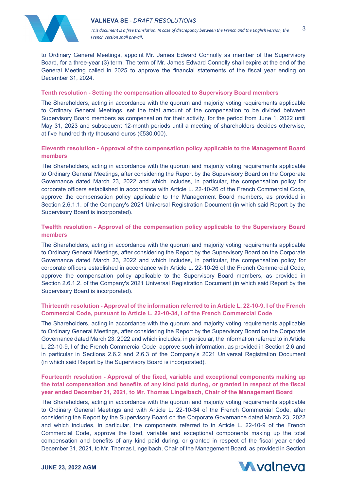

to Ordinary General Meetings, appoint Mr. James Edward Connolly as member of the Supervisory Board, for a three-year (3) term. The term of Mr. James Edward Connolly shall expire at the end of the General Meeting called in 2025 to approve the financial statements of the fiscal year ending on December 31, 2024.

## **Tenth resolution - Setting the compensation allocated to Supervisory Board members**

The Shareholders, acting in accordance with the quorum and majority voting requirements applicable to Ordinary General Meetings, set the total amount of the compensation to be divided between Supervisory Board members as compensation for their activity, for the period from June 1, 2022 until May 31, 2023 and subsequent 12-month periods until a meeting of shareholders decides otherwise, at five hundred thirty thousand euros (€530,000).

# **Eleventh resolution - Approval of the compensation policy applicable to the Management Board members**

The Shareholders, acting in accordance with the quorum and majority voting requirements applicable to Ordinary General Meetings, after considering the Report by the Supervisory Board on the Corporate Governance dated March 23, 2022 and which includes, in particular, the compensation policy for corporate officers established in accordance with Article L. 22-10-26 of the French Commercial Code, approve the compensation policy applicable to the Management Board members, as provided in Section 2.6.1.1. of the Company's 2021 Universal Registration Document (in which said Report by the Supervisory Board is incorporated).

# **Twelfth resolution - Approval of the compensation policy applicable to the Supervisory Board members**

The Shareholders, acting in accordance with the quorum and majority voting requirements applicable to Ordinary General Meetings, after considering the Report by the Supervisory Board on the Corporate Governance dated March 23, 2022 and which includes, in particular, the compensation policy for corporate officers established in accordance with Article L. 22-10-26 of the French Commercial Code, approve the compensation policy applicable to the Supervisory Board members, as provided in Section 2.6.1.2. of the Company's 2021 Universal Registration Document (in which said Report by the Supervisory Board is incorporated).

## **Thirteenth resolution - Approval of the information referred to in Article L. 22-10-9, I of the French Commercial Code, pursuant to Article L. 22-10-34, I of the French Commercial Code**

The Shareholders, acting in accordance with the quorum and majority voting requirements applicable to Ordinary General Meetings, after considering the Report by the Supervisory Board on the Corporate Governance dated March 23, 2022 and which includes, in particular, the information referred to in Article L. 22-10-9, I of the French Commercial Code, approve such information, as provided in Section 2.6 and in particular in Sections 2.6.2 and 2.6.3 of the Company's 2021 Universal Registration Document (in which said Report by the Supervisory Board is incorporated).

# **Fourteenth resolution - Approval of the fixed, variable and exceptional components making up the total compensation and benefits of any kind paid during, or granted in respect of the fiscal year ended December 31, 2021, to Mr. Thomas Lingelbach, Chair of the Management Board**

The Shareholders, acting in accordance with the quorum and majority voting requirements applicable to Ordinary General Meetings and with Article L. 22-10-34 of the French Commercial Code, after considering the Report by the Supervisory Board on the Corporate Governance dated March 23, 2022 and which includes, in particular, the components referred to in Article L. 22-10-9 of the French Commercial Code, approve the fixed, variable and exceptional components making up the total compensation and benefits of any kind paid during, or granted in respect of the fiscal year ended December 31, 2021, to Mr. Thomas Lingelbach, Chair of the Management Board, as provided in Section

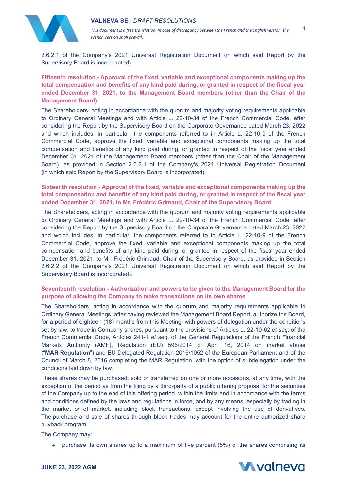

2.6.2.1 of the Company's 2021 Universal Registration Document (in which said Report by the Supervisory Board is incorporated).

**Fifteenth resolution - Approval of the fixed, variable and exceptional components making up the total compensation and benefits of any kind paid during, or granted in respect of the fiscal year ended December 31, 2021, to the Management Board members (other than the Chair of the Management Board)**

The Shareholders, acting in accordance with the quorum and majority voting requirements applicable to Ordinary General Meetings and with Article L. 22-10-34 of the French Commercial Code, after considering the Report by the Supervisory Board on the Corporate Governance dated March 23, 2022 and which includes, in particular, the components referred to in Article L. 22-10-9 of the French Commercial Code, approve the fixed, variable and exceptional components making up the total compensation and benefits of any kind paid during, or granted in respect of the fiscal year ended December 31, 2021 of the Management Board members (other than the Chair of the Management Board), as provided in Section 2.6.2.1 of the Company's 2021 Universal Registration Document (in which said Report by the Supervisory Board is incorporated).

**Sixteenth resolution - Approval of the fixed, variable and exceptional components making up the total compensation and benefits of any kind paid during, or granted in respect of the fiscal year ended December 31, 2021, to Mr. Frédéric Grimaud, Chair of the Supervisory Board**

The Shareholders, acting in accordance with the quorum and majority voting requirements applicable to Ordinary General Meetings and with Article L. 22-10-34 of the French Commercial Code, after considering the Report by the Supervisory Board on the Corporate Governance dated March 23, 2022 and which includes, in particular, the components referred to in Article L. 22-10-9 of the French Commercial Code, approve the fixed, variable and exceptional components making up the total compensation and benefits of any kind paid during, or granted in respect of the fiscal year ended December 31, 2021, to Mr. Frédéric Grimaud, Chair of the Supervisory Board, as provided in Section 2.6.2.2 of the Company's 2021 Universal Registration Document (in which said Report by the Supervisory Board is incorporated).

## **Seventeenth resolution - Authorization and powers to be given to the Management Board for the purpose of allowing the Company to make transactions on its own shares**

The Shareholders, acting in accordance with the quorum and majority requirements applicable to Ordinary General Meetings, after having reviewed the Management Board Report, authorize the Board, for a period of eighteen (18) months from this Meeting, with powers of delegation under the conditions set by law, to trade in Company shares, pursuant to the provisions of Articles L. 22-10-62 *et seq*. of the French Commercial Code, Articles 241-1 *et seq*. of the General Regulations of the French Financial Markets Authority (AMF), Regulation (EU) 596/2014 of April 16, 2014 on market abuse ("**MAR Regulation**") and EU Delegated Regulation 2016/1052 of the European Parliament and of the Council of March 8, 2016 completing the MAR Regulation, with the option of subdelegation under the conditions laid down by law.

These shares may be purchased, sold or transferred on one or more occasions, at any time, with the exception of the period as from the filing by a third-party of a public offering proposal for the securities of the Company up to the end of this offering period, within the limits and in accordance with the terms and conditions defined by the laws and regulations in force, and by any means, especially by trading in the market or off-market, including block transactions, except involving the use of derivatives. The purchase and sale of shares through block trades may account for the entire authorized share buyback program.

The Company may:

 $+$  purchase its own shares up to a maximum of five percent (5%) of the shares comprising its



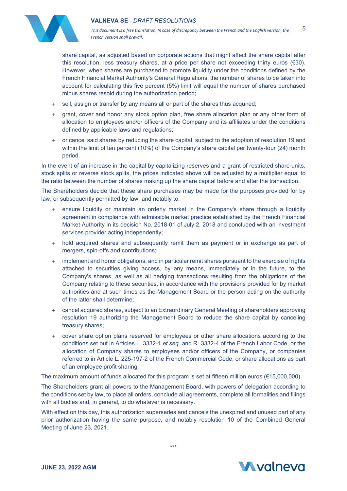

*This document is a free translation. In case of discrepancy between the French and the English version, the French version shall prevail*. 5

share capital, as adjusted based on corporate actions that might affect the share capital after this resolution, less treasury shares, at a price per share not exceeding thirty euros  $(€30)$ . However, when shares are purchased to promote liquidity under the conditions defined by the French Financial Market Authority's General Regulations, the number of shares to be taken into account for calculating this five percent (5%) limit will equal the number of shares purchased minus shares resold during the authorization period;

- + sell, assign or transfer by any means all or part of the shares thus acquired;
- + grant, cover and honor any stock option plan, free share allocation plan or any other form of allocation to employees and/or officers of the Company and its affiliates under the conditions defined by applicable laws and regulations;
- + or cancel said shares by reducing the share capital, subject to the adoption of resolution 19 and within the limit of ten percent (10%) of the Company's share capital per twenty-four (24) month period.

In the event of an increase in the capital by capitalizing reserves and a grant of restricted share units, stock splits or reverse stock splits, the prices indicated above will be adjusted by a multiplier equal to the ratio between the number of shares making up the share capital before and after the transaction.

The Shareholders decide that these share purchases may be made for the purposes provided for by law, or subsequently permitted by law, and notably to:

- ensure liquidity or maintain an orderly market in the Company's share through a liquidity agreement in compliance with admissible market practice established by the French Financial Market Authority in its decision No. 2018-01 of July 2, 2018 and concluded with an investment services provider acting independently;
- + hold acquired shares and subsequently remit them as payment or in exchange as part of mergers, spin-offs and contributions;
- implement and honor obligations, and in particular remit shares pursuant to the exercise of rights attached to securities giving access, by any means, immediately or in the future, to the Company's shares, as well as all hedging transactions resulting from the obligations of the Company relating to these securities, in accordance with the provisions provided for by market authorities and at such times as the Management Board or the person acting on the authority of the latter shall determine;
- + cancel acquired shares, subject to an Extraordinary General Meeting of shareholders approving resolution 19 authorizing the Management Board to reduce the share capital by canceling treasury shares;
- + cover share option plans reserved for employees or other share allocations according to the conditions set out in Articles L. 3332-1 *et seq*. and R. 3332-4 of the French Labor Code, or the allocation of Company shares to employees and/or officers of the Company, or companies referred to in Article L. 225-197-2 of the French Commercial Code, or share allocations as part of an employee profit sharing.

The maximum amount of funds allocated for this program is set at fifteen million euros (€15,000,000).

The Shareholders grant all powers to the Management Board, with powers of delegation according to the conditions set by law, to place all orders, conclude all agreements, complete all formalities and filings with all bodies and, in general, to do whatever is necessary.

With effect on this day, this authorization supersedes and cancels the unexpired and unused part of any prior authorization having the same purpose, and notably resolution 10 of the Combined General Meeting of June 23, 2021.

\*\*\*

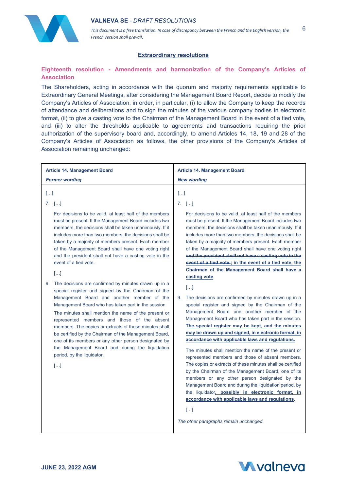

6

# **Extraordinary resolutions**

# **Eighteenth resolution - Amendments and harmonization of the Company's Articles of Association**

The Shareholders, acting in accordance with the quorum and majority requirements applicable to Extraordinary General Meetings, after considering the Management Board Report, decide to modify the Company's Articles of Association, in order, in particular, (i) to allow the Company to keep the records of attendance and deliberations and to sign the minutes of the various company bodies in electronic format, (ii) to give a casting vote to the Chairman of the Management Board in the event of a tied vote, and (iii) to alter the thresholds applicable to agreements and transactions requiring the prior authorization of the supervisory board and, accordingly, to amend Articles 14, 18, 19 and 28 of the Company's Articles of Association as follows, the other provisions of the Company's Articles of Association remaining unchanged:

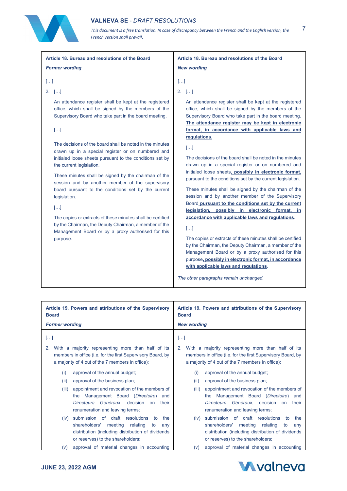

*This document is a free translation. In case of discrepancy between the French and the English version, the French version shall prevail*.

| Article 18. Bureau and resolutions of the Board<br><b>Former wording</b>                                                                                                                                                                                                                                                                                                                                                                                                                                                                                                                                                                                                                                                                                                                       | Article 18. Bureau and resolutions of the Board<br><b>New wording</b>                                                                                                                                                                                                                                                                                                                                                                                                                                                                                                                                                                                                                                                                                                                                                                                                                                                                                                                                                                                                                                                                                                                        |
|------------------------------------------------------------------------------------------------------------------------------------------------------------------------------------------------------------------------------------------------------------------------------------------------------------------------------------------------------------------------------------------------------------------------------------------------------------------------------------------------------------------------------------------------------------------------------------------------------------------------------------------------------------------------------------------------------------------------------------------------------------------------------------------------|----------------------------------------------------------------------------------------------------------------------------------------------------------------------------------------------------------------------------------------------------------------------------------------------------------------------------------------------------------------------------------------------------------------------------------------------------------------------------------------------------------------------------------------------------------------------------------------------------------------------------------------------------------------------------------------------------------------------------------------------------------------------------------------------------------------------------------------------------------------------------------------------------------------------------------------------------------------------------------------------------------------------------------------------------------------------------------------------------------------------------------------------------------------------------------------------|
| $[]$<br>$2.$ []<br>An attendance register shall be kept at the registered<br>office, which shall be signed by the members of the<br>Supervisory Board who take part in the board meeting.<br>$[]$<br>The decisions of the board shall be noted in the minutes<br>drawn up in a special register or on numbered and<br>initialed loose sheets pursuant to the conditions set by<br>the current legislation.<br>These minutes shall be signed by the chairman of the<br>session and by another member of the supervisory<br>board pursuant to the conditions set by the current<br>legislation.<br>$[]$<br>The copies or extracts of these minutes shall be certified<br>by the Chairman, the Deputy Chairman, a member of the<br>Management Board or by a proxy authorised for this<br>purpose. | $\left[\ldots\right]$<br>$2.$ []<br>An attendance register shall be kept at the registered<br>office, which shall be signed by the members of the<br>Supervisory Board who take part in the board meeting.<br>The attendance register may be kept in electronic<br>format, in accordance with applicable laws and<br>regulations.<br>$[]$<br>The decisions of the board shall be noted in the minutes<br>drawn up in a special register or on numbered and<br>initialed loose sheets, possibly in electronic format,<br>pursuant to the conditions set by the current legislation.<br>These minutes shall be signed by the chairman of the<br>session and by another member of the Supervisory<br>Board-pursuant to the conditions set by the current<br>legislation, possibly in electronic format, in<br>accordance with applicable laws and regulations.<br>$[]$<br>The copies or extracts of these minutes shall be certified<br>by the Chairman, the Deputy Chairman, a member of the<br>Management Board or by a proxy authorised for this<br>purpose, possibly in electronic format, in accordance<br>with applicable laws and regulations.<br>The other paragraphs remain unchanged. |
| Article 19 Powers and attributions of the Supervisory                                                                                                                                                                                                                                                                                                                                                                                                                                                                                                                                                                                                                                                                                                                                          | Article 19 Powers and attributions of the Supervisory                                                                                                                                                                                                                                                                                                                                                                                                                                                                                                                                                                                                                                                                                                                                                                                                                                                                                                                                                                                                                                                                                                                                        |

| Article 19. Powers and attributions of the Supervisory                                                                                                                            | Article 19. Powers and attributions of the Supervisory                                                                                                                                  |
|-----------------------------------------------------------------------------------------------------------------------------------------------------------------------------------|-----------------------------------------------------------------------------------------------------------------------------------------------------------------------------------------|
| <b>Board</b>                                                                                                                                                                      | <b>Board</b>                                                                                                                                                                            |
| <b>Former wording</b>                                                                                                                                                             | <b>New wording</b>                                                                                                                                                                      |
| []                                                                                                                                                                                | []                                                                                                                                                                                      |
| With a majority representing more than half of its<br>2.<br>members in office (i.e. for the first Supervisory Board, by<br>a majority of 4 out of the 7 members in office):       | 2. With a majority representing more than half of its<br>members in office (i.e. for the first Supervisory Board, by<br>a majority of 4 out of the 7 members in office):                |
| approval of the annual budget;                                                                                                                                                    | approval of the annual budget;                                                                                                                                                          |
| (i)                                                                                                                                                                               | (i)                                                                                                                                                                                     |
| (ii)                                                                                                                                                                              | (ii)                                                                                                                                                                                    |
| approval of the business plan;                                                                                                                                                    | approval of the business plan;                                                                                                                                                          |
| appointment and revocation of the members of<br>(iii)<br>the Management Board (Directoire) and<br>Directeurs Généraux, decision<br>their<br>on<br>renumeration and leaving terms; | appointment and revocation of the members of<br>(iii)<br>Management Board (Directoire)<br>the<br>and<br>Directeurs Généraux, decision<br>their<br>on<br>renumeration and leaving terms; |
| submission of draft resolutions                                                                                                                                                   | submission of draft resolutions                                                                                                                                                         |
| the                                                                                                                                                                               | the                                                                                                                                                                                     |
| (iv)                                                                                                                                                                              | (iv)                                                                                                                                                                                    |
| to                                                                                                                                                                                | to                                                                                                                                                                                      |
| shareholders'                                                                                                                                                                     | shareholders'                                                                                                                                                                           |
| meeting                                                                                                                                                                           | meeting                                                                                                                                                                                 |
| relating                                                                                                                                                                          | relating                                                                                                                                                                                |
| to                                                                                                                                                                                | to                                                                                                                                                                                      |
| any                                                                                                                                                                               | any                                                                                                                                                                                     |
| distribution (including distribution of dividends                                                                                                                                 | distribution (including distribution of dividends                                                                                                                                       |
| or reserves) to the shareholders;                                                                                                                                                 | or reserves) to the shareholders;                                                                                                                                                       |
| approval of material changes in accounting                                                                                                                                        | approval of material changes in accounting                                                                                                                                              |
| (v)                                                                                                                                                                               | (v)                                                                                                                                                                                     |

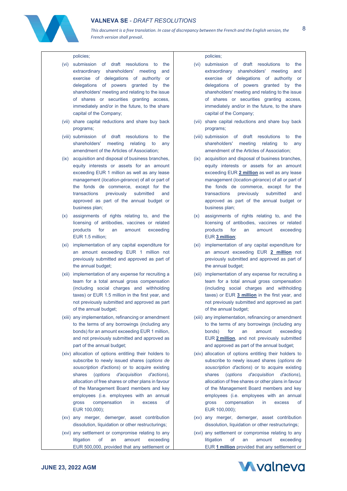

*This document is a free translation. In case of discrepancy between the French and the English version, the French version shall prevail*.

#### policies;

- (vi) submission of draft resolutions to the extraordinary shareholders' meeting and exercise of delegations of authority or delegations of powers granted by the shareholders' meeting and relating to the issue of shares or securities granting access, immediately and/or in the future, to the share capital of the Company;
- (vii) share capital reductions and share buy back programs;
- (viii) submission of draft resolutions to the shareholders' meeting relating to any amendment of the Articles of Association;
- (ix) acquisition and disposal of business branches, equity interests or assets for an amount exceeding EUR 1 million as well as any lease management (*location-gérance*) of all or part of the fonds de commerce, except for the transactions previously submitted and approved as part of the annual budget or business plan;
- (x) assignments of rights relating to, and the licensing of antibodies, vaccines or related products for an amount exceeding EUR 1.5 million;
- (xi) implementation of any capital expenditure for an amount exceeding EUR 1 million not previously submitted and approved as part of the annual budget;
- (xii) implementation of any expense for recruiting a team for a total annual gross compensation (including social charges and withholding taxes) or EUR 1.5 million in the first year, and not previously submitted and approved as part of the annual budget;
- (xiii) any implementation, refinancing or amendment to the terms of any borrowings (including any bonds) for an amount exceeding EUR 1 million, and not previously submitted and approved as part of the annual budget;
- (xiv) allocation of options entitling their holders to subscribe to newly issued shares (*options de souscription d'actions*) or to acquire existing shares (*options d'acquisition d'actions*), allocation of free shares or other plans in favour of the Management Board members and key employees (i.e. employees with an annual gross compensation in excess of EUR 100,000);
- (xv) any merger, demerger, asset contribution dissolution, liquidation or other restructurings;
- (xvi) any settlement or compromise relating to any litigation of an amount exceeding EUR 500,000, provided that any settlement or

#### policies;

- (vi) submission of draft resolutions to the extraordinary shareholders' meeting and exercise of delegations of authority or delegations of powers granted by the shareholders' meeting and relating to the issue of shares or securities granting access, immediately and/or in the future, to the share capital of the Company;
- (vii) share capital reductions and share buy back programs;
- (viii) submission of draft resolutions to the shareholders' meeting relating to any amendment of the Articles of Association;
- (ix) acquisition and disposal of business branches, equity interests or assets for an amount exceeding EUR **2 million** as well as any lease management (*location-gérance*) of all or part of the fonds de commerce, except for the transactions previously submitted and approved as part of the annual budget or business plan;
- (x) assignments of rights relating to, and the licensing of antibodies, vaccines or related products for an amount exceeding EUR **3 million**;
- (xi) implementation of any capital expenditure for an amount exceeding EUR **2 million** not previously submitted and approved as part of the annual budget;
- (xii) implementation of any expense for recruiting a team for a total annual gross compensation (including social charges and withholding taxes) or EUR **3 million** in the first year, and not previously submitted and approved as part of the annual budget;
- (xiii) any implementation, refinancing or amendment to the terms of any borrowings (including any bonds) for an amount exceeding EUR **2 million**, and not previously submitted and approved as part of the annual budget;
- (xiv) allocation of options entitling their holders to subscribe to newly issued shares (*options de souscription d'actions*) or to acquire existing shares (*options d'acquisition d'actions*), allocation of free shares or other plans in favour of the Management Board members and key employees (i.e. employees with an annual gross compensation in excess of EUR 100,000);
- (xv) any merger, demerger, asset contribution dissolution, liquidation or other restructurings;
- (xvi) any settlement or compromise relating to any litigation of an amount exceeding EUR **1 million** provided that any settlement or

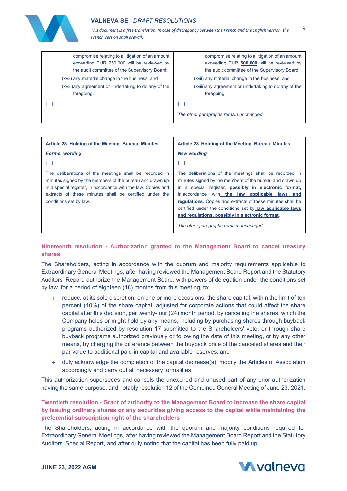

 $\overline{Q}$ 

| compromise relating to a litigation of an amount<br>exceeding EUR 250,000 will be reviewed by<br>the audit committee of the Supervisory Board;<br>(xvii) any material change in the business; and<br>(xviii) any agreement or undertaking to do any of the<br>foregoing. | compromise relating to a litigation of an amount<br>exceeding EUR 500,000 will be reviewed by<br>the audit committee of the Supervisory Board;<br>(xvii) any material change in the business; and<br>(xviii) any agreement or undertaking to do any of the<br>foregoing. |
|--------------------------------------------------------------------------------------------------------------------------------------------------------------------------------------------------------------------------------------------------------------------------|--------------------------------------------------------------------------------------------------------------------------------------------------------------------------------------------------------------------------------------------------------------------------|
| […]                                                                                                                                                                                                                                                                      | المحا                                                                                                                                                                                                                                                                    |
|                                                                                                                                                                                                                                                                          | The other paragraphs remain unchanged.                                                                                                                                                                                                                                   |

| Article 28. Holding of the Meeting. Bureau. Minutes<br><b>Former wording</b>                                                                                                                                                                                            | Article 28. Holding of the Meeting. Bureau. Minutes<br><b>New wording</b>                                                                                                                                                                                                                                                                                                                                                                                     |
|-------------------------------------------------------------------------------------------------------------------------------------------------------------------------------------------------------------------------------------------------------------------------|---------------------------------------------------------------------------------------------------------------------------------------------------------------------------------------------------------------------------------------------------------------------------------------------------------------------------------------------------------------------------------------------------------------------------------------------------------------|
| $[]$                                                                                                                                                                                                                                                                    | $[]$                                                                                                                                                                                                                                                                                                                                                                                                                                                          |
| The deliberations of the meetings shall be recorded in<br>minutes signed by the members of the bureau and drawn up<br>in a special register, in accordance with the law. Copies and<br>extracts of these minutes shall be certified under the<br>conditions set by law. | The deliberations of the meetings shall be recorded in<br>minutes signed by the members of the bureau and drawn up<br>in a special register, <b>possibly in electronic format</b> ,<br>in accordance with the law applicable laws and<br>regulations. Copies and extracts of these minutes shall be<br>certified under the conditions set by law applicable laws<br>and regulations, possibly in electronic format.<br>The other paragraphs remain unchanged. |

# **Nineteenth resolution - Authorization granted to the Management Board to cancel treasury shares**

The Shareholders, acting in accordance with the quorum and majority requirements applicable to Extraordinary General Meetings, after having reviewed the Management Board Report and the Statutory Auditors' Report, authorize the Management Board, with powers of delegation under the conditions set by law, for a period of eighteen (18) months from this meeting, to:

- reduce, at its sole discretion, on one or more occasions, the share capital, within the limit of ten percent (10%) of the share capital, adjusted for corporate actions that could affect the share capital after this decision, per twenty-four (24) month period, by canceling the shares, which the Company holds or might hold by any means, including by purchasing shares through buyback programs authorized by resolution 17 submitted to the Shareholders' vote, or through share buyback programs authorized previously or following the date of this meeting, or by any other means, by charging the difference between the buyback price of the canceled shares and their par value to additional paid-in capital and available reserves; and
- + duly acknowledge the completion of the capital decrease(s), modify the Articles of Association accordingly and carry out all necessary formalities.

This authorization supersedes and cancels the unexpired and unused part of any prior authorization having the same purpose, and notably resolution 12 of the Combined General Meeting of June 23, 2021.

**Twentieth resolution - Grant of authority to the Management Board to increase the share capital by issuing ordinary shares or any securities giving access to the capital while maintaining the preferential subscription right of the shareholders**

The Shareholders, acting in accordance with the quorum and majority conditions required for Extraordinary General Meetings, after having reviewed the Management Board Report and the Statutory Auditors' Special Report, and after duly noting that the capital has been fully paid up:

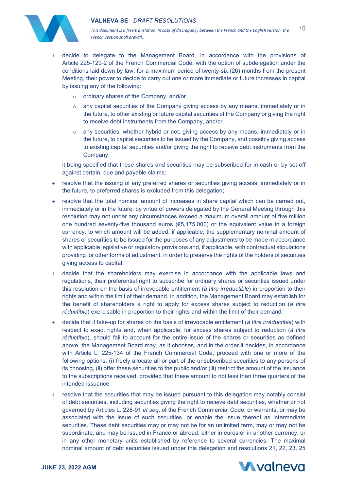

*This document is a free translation. In case of discrepancy between the French and the English version, the French version shall prevail*. 10

- decide to delegate to the Management Board, in accordance with the provisions of Article 225-129-2 of the French Commercial Code, with the option of subdelegation under the conditions laid down by law, for a maximum period of twenty-six (26) months from the present Meeting, their power to decide to carry out one or more immediate or future increases in capital by issuing any of the following:
	- o ordinary shares of the Company, and/or
	- o any capital securities of the Company giving access by any means, immediately or in the future, to other existing or future capital securities of the Company or giving the right to receive debt instruments from the Company, and/or
	- o any securities, whether hybrid or not, giving access by any means, immediately or in the future, to capital securities to be issued by the Company, and possibly giving access to existing capital securities and/or giving the right to receive debt instruments from the Company,

it being specified that these shares and securities may be subscribed for in cash or by set-off against certain, due and payable claims;

- resolve that the issuing of any preferred shares or securities giving access, immediately or in the future, to preferred shares is excluded from this delegation;
- resolve that the total nominal amount of increases in share capital which can be carried out, immediately or in the future, by virtue of powers delegated by the General Meeting through this resolution may not under any circumstances exceed a maximum overall amount of five million one hundred seventy-five thousand euros (€5,175,000) or the equivalent value in a foreign currency, to which amount will be added, if applicable, the supplementary nominal amount of shares or securities to be issued for the purposes of any adjustments to be made in accordance with applicable legislative or regulatory provisions and, if applicable, with contractual stipulations providing for other forms of adjustment, in order to preserve the rights of the holders of securities giving access to capital;
- + decide that the shareholders may exercise in accordance with the applicable laws and regulations, their preferential right to subscribe for ordinary shares or securities issued under this resolution on the basis of irrevocable entitlement (*à titre irréductible*) in proportion to their rights and within the limit of their demand. In addition, the Management Board may establish for the benefit of shareholders a right to apply for excess shares subject to reduction (*à titre réductible*) exercisable in proportion to their rights and within the limit of their demand;
- + decide that if take-up for shares on the basis of irrevocable entitlement (*à titre irréductible*) with respect to exact rights and, when applicable, for excess shares subject to reduction (*à titre réductible*), should fail to account for the entire issue of the shares or securities as defined above, the Management Board may, as it chooses, and in the order it decides, in accordance with Article L. 225-134 of the French Commercial Code, proceed with one or more of the following options: (i) freely allocate all or part of the unsubscribed securities to any persons of its choosing, (ii) offer these securities to the public and/or (iii) restrict the amount of the issuance to the subscriptions received, provided that these amount to not less than three quarters of the intended issuance;
- + resolve that the securities that may be issued pursuant to this delegation may notably consist of debt securities, including securities giving the right to receive debt securities, whether or not governed by Articles L. 228-91 *et seq*. of the French Commercial Code, or warrants, or may be associated with the issue of such securities, or enable the issue thereof as intermediate securities. These debt securities may or may not be for an unlimited term, may or may not be subordinate, and may be issued in France or abroad, either in euros or in another currency, or in any other monetary units established by reference to several currencies. The maximal nominal amount of debt securities issued under this delegation and resolutions 21, 22, 23, 25

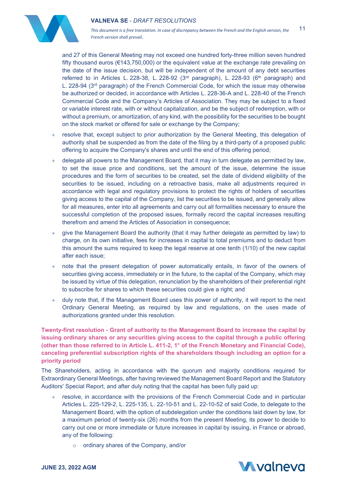

*This document is a free translation. In case of discrepancy between the French and the English version, the French version shall prevail*. 11

and 27 of this General Meeting may not exceed one hundred forty-three million seven hundred fifty thousand euros (€143,750,000) or the equivalent value at the exchange rate prevailing on the date of the issue decision, but will be independent of the amount of any debt securities referred to in Articles L. 228-38, L. 228-92 ( $3<sup>rd</sup>$  paragraph), L. 228-93 ( $6<sup>th</sup>$  paragraph) and L. 228-94 ( $3<sup>rd</sup>$  paragraph) of the French Commercial Code, for which the issue may otherwise be authorized or decided, in accordance with Articles L. 228-36-A and L. 228-40 of the French Commercial Code and the Company's Articles of Association. They may be subject to a fixed or variable interest rate, with or without capitalization, and be the subject of redemption, with or without a premium, or amortization, of any kind, with the possibility for the securities to be bought on the stock market or offered for sale or exchange by the Company;

- + resolve that, except subject to prior authorization by the General Meeting, this delegation of authority shall be suspended as from the date of the filing by a third-party of a proposed public offering to acquire the Company's shares and until the end of this offering period;
- + delegate all powers to the Management Board, that it may in turn delegate as permitted by law, to set the issue price and conditions, set the amount of the issue, determine the issue procedures and the form of securities to be created, set the date of dividend eligibility of the securities to be issued, including on a retroactive basis, make all adjustments required in accordance with legal and regulatory provisions to protect the rights of holders of securities giving access to the capital of the Company, list the securities to be issued, and generally allow for all measures, enter into all agreements and carry out all formalities necessary to ensure the successful completion of the proposed issues, formally record the capital increases resulting therefrom and amend the Articles of Association in consequence;
- + give the Management Board the authority (that it may further delegate as permitted by law) to charge, on its own initiative, fees for increases in capital to total premiums and to deduct from this amount the sums required to keep the legal reserve at one tenth (1/10) of the new capital after each issue;
- + note that the present delegation of power automatically entails, in favor of the owners of securities giving access, immediately or in the future, to the capital of the Company, which may be issued by virtue of this delegation, renunciation by the shareholders of their preferential right to subscribe for shares to which these securities could give a right; and
- + duly note that, if the Management Board uses this power of authority, it will report to the next Ordinary General Meeting, as required by law and regulations, on the uses made of authorizations granted under this resolution.

**Twenty-first resolution - Grant of authority to the Management Board to increase the capital by issuing ordinary shares or any securities giving access to the capital through a public offering (other than those referred to in Article L. 411-2, 1° of the French Monetary and Financial Code), canceling preferential subscription rights of the shareholders though including an option for a priority period**

The Shareholders, acting in accordance with the quorum and majority conditions required for Extraordinary General Meetings, after having reviewed the Management Board Report and the Statutory Auditors' Special Report, and after duly noting that the capital has been fully paid up:

- + resolve, in accordance with the provisions of the French Commercial Code and in particular Articles L. 225-129-2, L. 225-135, L. 22-10-51 and L. 22-10-52 of said Code, to delegate to the Management Board, with the option of subdelegation under the conditions laid down by law, for a maximum period of twenty-six (26) months from the present Meeting, its power to decide to carry out one or more immediate or future increases in capital by issuing, in France or abroad, any of the following:
	- o ordinary shares of the Company, and/or

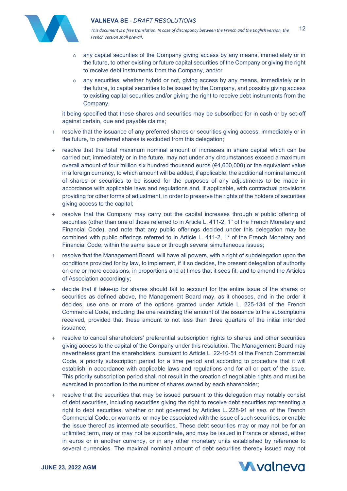

*This document is a free translation. In case of discrepancy between the French and the English version, the French version shall prevail*. 12

- $\circ$  any capital securities of the Company giving access by any means, immediately or in the future, to other existing or future capital securities of the Company or giving the right to receive debt instruments from the Company, and/or
- $\circ$  any securities, whether hybrid or not, giving access by any means, immediately or in the future, to capital securities to be issued by the Company, and possibly giving access to existing capital securities and/or giving the right to receive debt instruments from the Company,

it being specified that these shares and securities may be subscribed for in cash or by set-off against certain, due and payable claims;

- + resolve that the issuance of any preferred shares or securities giving access, immediately or in the future, to preferred shares is excluded from this delegation;
- resolve that the total maximum nominal amount of increases in share capital which can be carried out, immediately or in the future, may not under any circumstances exceed a maximum overall amount of four million six hundred thousand euros (€4,600,000) or the equivalent value in a foreign currency, to which amount will be added, if applicable, the additional nominal amount of shares or securities to be issued for the purposes of any adjustments to be made in accordance with applicable laws and regulations and, if applicable, with contractual provisions providing for other forms of adjustment, in order to preserve the rights of the holders of securities giving access to the capital;
- + resolve that the Company may carry out the capital increases through a public offering of securities (other than one of those referred to in Article L. 411-2, 1° of the French Monetary and Financial Code), and note that any public offerings decided under this delegation may be combined with public offerings referred to in Article L. 411-2, 1° of the French Monetary and Financial Code, within the same issue or through several simultaneous issues;
- + resolve that the Management Board, will have all powers, with a right of subdelegation upon the conditions provided for by law, to implement, if it so decides, the present delegation of authority on one or more occasions, in proportions and at times that it sees fit, and to amend the Articles of Association accordingly;
- + decide that if take-up for shares should fail to account for the entire issue of the shares or securities as defined above, the Management Board may, as it chooses, and in the order it decides, use one or more of the options granted under Article L. 225-134 of the French Commercial Code, including the one restricting the amount of the issuance to the subscriptions received, provided that these amount to not less than three quarters of the initial intended issuance;
- resolve to cancel shareholders' preferential subscription rights to shares and other securities giving access to the capital of the Company under this resolution. The Management Board may nevertheless grant the shareholders, pursuant to Article L. 22-10-51 of the French Commercial Code, a priority subscription period for a time period and according to procedure that it will establish in accordance with applicable laws and regulations and for all or part of the issue. This priority subscription period shall not result in the creation of negotiable rights and must be exercised in proportion to the number of shares owned by each shareholder;
- + resolve that the securities that may be issued pursuant to this delegation may notably consist of debt securities, including securities giving the right to receive debt securities representing a right to debt securities, whether or not governed by Articles L. 228-91 *et seq*. of the French Commercial Code, or warrants, or may be associated with the issue of such securities, or enable the issue thereof as intermediate securities. These debt securities may or may not be for an unlimited term, may or may not be subordinate, and may be issued in France or abroad, either in euros or in another currency, or in any other monetary units established by reference to several currencies. The maximal nominal amount of debt securities thereby issued may not

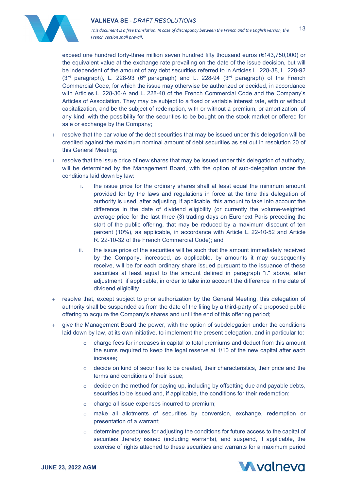

*This document is a free translation. In case of discrepancy between the French and the English version, the French version shall prevail*. 13

exceed one hundred forty-three million seven hundred fifty thousand euros (€143,750,000) or the equivalent value at the exchange rate prevailing on the date of the issue decision, but will be independent of the amount of any debt securities referred to in Articles L. 228-38, L. 228-92  $(3<sup>rd</sup>$  paragraph), L. 228-93  $(6<sup>th</sup>$  paragraph) and L. 228-94  $(3<sup>rd</sup>$  paragraph) of the French Commercial Code, for which the issue may otherwise be authorized or decided, in accordance with Articles L. 228-36-A and L. 228-40 of the French Commercial Code and the Company's Articles of Association. They may be subject to a fixed or variable interest rate, with or without capitalization, and be the subject of redemption, with or without a premium, or amortization, of any kind, with the possibility for the securities to be bought on the stock market or offered for sale or exchange by the Company;

- + resolve that the par value of the debt securities that may be issued under this delegation will be credited against the maximum nominal amount of debt securities as set out in resolution 20 of this General Meeting;
- + resolve that the issue price of new shares that may be issued under this delegation of authority, will be determined by the Management Board, with the option of sub-delegation under the conditions laid down by law:
	- i. the issue price for the ordinary shares shall at least equal the minimum amount provided for by the laws and regulations in force at the time this delegation of authority is used, after adjusting, if applicable, this amount to take into account the difference in the date of dividend eligibility (or currently the volume-weighted average price for the last three (3) trading days on Euronext Paris preceding the start of the public offering, that may be reduced by a maximum discount of ten percent (10%), as applicable, in accordance with Article L. 22-10-52 and Article R. 22-10-32 of the French Commercial Code); and
	- ii. the issue price of the securities will be such that the amount immediately received by the Company, increased, as applicable, by amounts it may subsequently receive, will be for each ordinary share issued pursuant to the issuance of these securities at least equal to the amount defined in paragraph "i." above, after adjustment, if applicable, in order to take into account the difference in the date of dividend eligibility.
- + resolve that, except subject to prior authorization by the General Meeting, this delegation of authority shall be suspended as from the date of the filing by a third-party of a proposed public offering to acquire the Company's shares and until the end of this offering period;
- give the Management Board the power, with the option of subdelegation under the conditions laid down by law, at its own initiative, to implement the present delegation, and in particular to:
	- $\circ$  charge fees for increases in capital to total premiums and deduct from this amount the sums required to keep the legal reserve at 1/10 of the new capital after each increase;
	- $\circ$  decide on kind of securities to be created, their characteristics, their price and the terms and conditions of their issue;
	- $\circ$  decide on the method for paying up, including by offsetting due and payable debts, securities to be issued and, if applicable, the conditions for their redemption;
	- o charge all issue expenses incurred to premium;
	- make all allotments of securities by conversion, exchange, redemption or presentation of a warrant;
	- $\circ$  determine procedures for adjusting the conditions for future access to the capital of securities thereby issued (including warrants), and suspend, if applicable, the exercise of rights attached to these securities and warrants for a maximum period

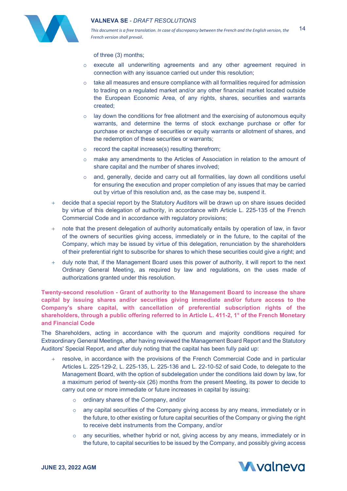

of three (3) months;

- o execute all underwriting agreements and any other agreement required in connection with any issuance carried out under this resolution;
- $\circ$  take all measures and ensure compliance with all formalities required for admission to trading on a regulated market and/or any other financial market located outside the European Economic Area, of any rights, shares, securities and warrants created;
- $\circ$  lay down the conditions for free allotment and the exercising of autonomous equity warrants, and determine the terms of stock exchange purchase or offer for purchase or exchange of securities or equity warrants or allotment of shares, and the redemption of these securities or warrants;
- o record the capital increase(s) resulting therefrom;
- o make any amendments to the Articles of Association in relation to the amount of share capital and the number of shares involved;
- $\circ$  and, generally, decide and carry out all formalities, lay down all conditions useful for ensuring the execution and proper completion of any issues that may be carried out by virtue of this resolution and, as the case may be, suspend it.
- + decide that a special report by the Statutory Auditors will be drawn up on share issues decided by virtue of this delegation of authority, in accordance with Article L. 225-135 of the French Commercial Code and in accordance with regulatory provisions;
- note that the present delegation of authority automatically entails by operation of law, in favor of the owners of securities giving access, immediately or in the future, to the capital of the Company, which may be issued by virtue of this delegation, renunciation by the shareholders of their preferential right to subscribe for shares to which these securities could give a right; and
- + duly note that, if the Management Board uses this power of authority, it will report to the next Ordinary General Meeting, as required by law and regulations, on the uses made of authorizations granted under this resolution.

**Twenty-second resolution - Grant of authority to the Management Board to increase the share capital by issuing shares and/or securities giving immediate and/or future access to the Company's share capital, with cancellation of preferential subscription rights of the shareholders, through a public offering referred to in Article L. 411-2, 1° of the French Monetary and Financial Code**

The Shareholders, acting in accordance with the quorum and majority conditions required for Extraordinary General Meetings, after having reviewed the Management Board Report and the Statutory Auditors' Special Report, and after duly noting that the capital has been fully paid up:

- + resolve, in accordance with the provisions of the French Commercial Code and in particular Articles L. 225-129-2, L. 225-135, L. 225-136 and L. 22-10-52 of said Code, to delegate to the Management Board, with the option of subdelegation under the conditions laid down by law, for a maximum period of twenty-six (26) months from the present Meeting, its power to decide to carry out one or more immediate or future increases in capital by issuing:
	- o ordinary shares of the Company, and/or
	- o any capital securities of the Company giving access by any means, immediately or in the future, to other existing or future capital securities of the Company or giving the right to receive debt instruments from the Company, and/or
	- o any securities, whether hybrid or not, giving access by any means, immediately or in the future, to capital securities to be issued by the Company, and possibly giving access

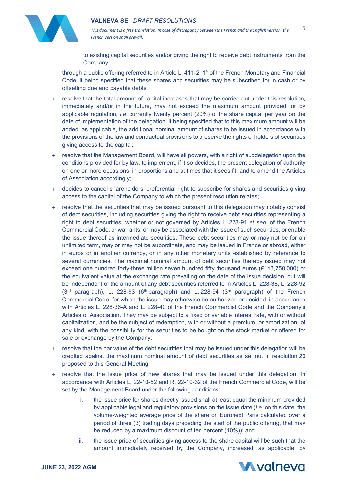

*This document is a free translation. In case of discrepancy between the French and the English version, the French version shall prevail*. 15

to existing capital securities and/or giving the right to receive debt instruments from the Company,

through a public offering referred to in Article L. 411-2, 1° of the French Monetary and Financial Code, it being specified that these shares and securities may be subscribed for in cash or by offsetting due and payable debts;

- + resolve that the total amount of capital increases that may be carried out under this resolution, immediately and/or in the future, may not exceed the maximum amount provided for by applicable regulation, *i.e*. currently twenty percent (20%) of the share capital per year on the date of implementation of the delegation, it being specified that to this maximum amount will be added, as applicable, the additional nominal amount of shares to be issued in accordance with the provisions of the law and contractual provisions to preserve the rights of holders of securities giving access to the capital;
- + resolve that the Management Board, will have all powers, with a right of subdelegation upon the conditions provided for by law, to implement, if it so decides, the present delegation of authority on one or more occasions, in proportions and at times that it sees fit, and to amend the Articles of Association accordingly;
- + decides to cancel shareholders' preferential right to subscribe for shares and securities giving access to the capital of the Company to which the present resolution relates;
- + resolve that the securities that may be issued pursuant to this delegation may notably consist of debt securities, including securities giving the right to receive debt securities representing a right to debt securities, whether or not governed by Articles L. 228-91 *et seq*. of the French Commercial Code, or warrants, or may be associated with the issue of such securities, or enable the issue thereof as intermediate securities. These debt securities may or may not be for an unlimited term, may or may not be subordinate, and may be issued in France or abroad, either in euros or in another currency, or in any other monetary units established by reference to several currencies. The maximal nominal amount of debt securities thereby issued may not exceed one hundred forty-three million seven hundred fifty thousand euros (€143,750,000) or the equivalent value at the exchange rate prevailing on the date of the issue decision, but will be independent of the amount of any debt securities referred to in Articles L. 228-38, L. 228-92  $(3<sup>rd</sup>$  paragraph), L. 228-93  $(6<sup>th</sup>$  paragraph) and L. 228-94  $(3<sup>rd</sup>$  paragraph) of the French Commercial Code, for which the issue may otherwise be authorized or decided, in accordance with Articles L. 228-36-A and L. 228-40 of the French Commercial Code and the Company's Articles of Association. They may be subject to a fixed or variable interest rate, with or without capitalization, and be the subject of redemption, with or without a premium, or amortization, of any kind, with the possibility for the securities to be bought on the stock market or offered for sale or exchange by the Company;
- + resolve that the par value of the debt securities that may be issued under this delegation will be credited against the maximum nominal amount of debt securities as set out in resolution 20 proposed to this General Meeting;
- + resolve that the issue price of new shares that may be issued under this delegation, in accordance with Articles L. 22-10-52 and R. 22-10-32 of the French Commercial Code, will be set by the Management Board under the following conditions:
	- i. the issue price for shares directly issued shall at least equal the minimum provided by applicable legal and regulatory provisions on the issue date (*i.e*. on this date, the volume-weighted average price of the share on Euronext Paris calculated over a period of three (3) trading days preceding the start of the public offering, that may be reduced by a maximum discount of ten percent (10%)); and
	- ii. the issue price of securities giving access to the share capital will be such that the amount immediately received by the Company, increased, as applicable, by

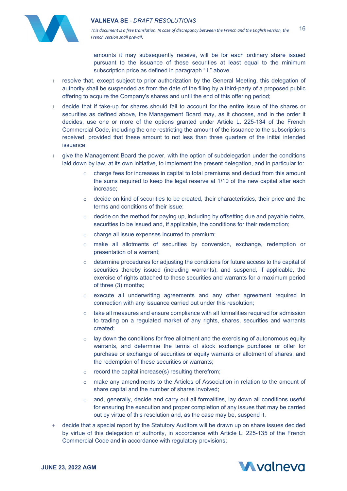

*This document is a free translation. In case of discrepancy between the French and the English version, the French version shall prevail*. 16

amounts it may subsequently receive, will be for each ordinary share issued pursuant to the issuance of these securities at least equal to the minimum subscription price as defined in paragraph "i." above.

- + resolve that, except subject to prior authorization by the General Meeting, this delegation of authority shall be suspended as from the date of the filing by a third-party of a proposed public offering to acquire the Company's shares and until the end of this offering period;
- + decide that if take-up for shares should fail to account for the entire issue of the shares or securities as defined above, the Management Board may, as it chooses, and in the order it decides, use one or more of the options granted under Article L. 225-134 of the French Commercial Code, including the one restricting the amount of the issuance to the subscriptions received, provided that these amount to not less than three quarters of the initial intended issuance;
- give the Management Board the power, with the option of subdelegation under the conditions laid down by law, at its own initiative, to implement the present delegation, and in particular to:
	- $\circ$  charge fees for increases in capital to total premiums and deduct from this amount the sums required to keep the legal reserve at 1/10 of the new capital after each increase;
	- $\circ$  decide on kind of securities to be created, their characteristics, their price and the terms and conditions of their issue;
	- o decide on the method for paying up, including by offsetting due and payable debts, securities to be issued and, if applicable, the conditions for their redemption;
	- o charge all issue expenses incurred to premium;
	- o make all allotments of securities by conversion, exchange, redemption or presentation of a warrant;
	- $\circ$  determine procedures for adjusting the conditions for future access to the capital of securities thereby issued (including warrants), and suspend, if applicable, the exercise of rights attached to these securities and warrants for a maximum period of three (3) months;
	- o execute all underwriting agreements and any other agreement required in connection with any issuance carried out under this resolution;
	- $\circ$  take all measures and ensure compliance with all formalities required for admission to trading on a regulated market of any rights, shares, securities and warrants created;
	- $\circ$  lay down the conditions for free allotment and the exercising of autonomous equity warrants, and determine the terms of stock exchange purchase or offer for purchase or exchange of securities or equity warrants or allotment of shares, and the redemption of these securities or warrants;
	- $\circ$  record the capital increase(s) resulting therefrom;
	- o make any amendments to the Articles of Association in relation to the amount of share capital and the number of shares involved;
	- $\circ$  and, generally, decide and carry out all formalities, lay down all conditions useful for ensuring the execution and proper completion of any issues that may be carried out by virtue of this resolution and, as the case may be, suspend it.
- decide that a special report by the Statutory Auditors will be drawn up on share issues decided by virtue of this delegation of authority, in accordance with Article L. 225-135 of the French Commercial Code and in accordance with regulatory provisions;

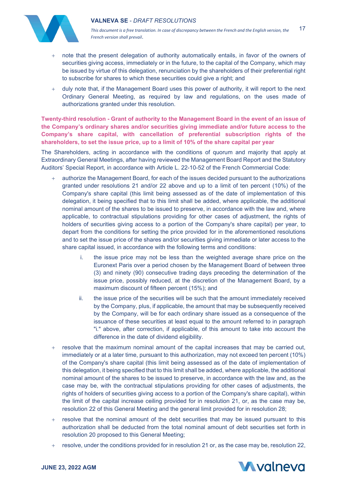

*This document is a free translation. In case of discrepancy between the French and the English version, the French version shall prevail*. 17

- hote that the present delegation of authority automatically entails, in favor of the owners of securities giving access, immediately or in the future, to the capital of the Company, which may be issued by virtue of this delegation, renunciation by the shareholders of their preferential right to subscribe for shares to which these securities could give a right; and
- + duly note that, if the Management Board uses this power of authority, it will report to the next Ordinary General Meeting, as required by law and regulations, on the uses made of authorizations granted under this resolution.

**Twenty-third resolution - Grant of authority to the Management Board in the event of an issue of the Company's ordinary shares and/or securities giving immediate and/or future access to the Company's share capital, with cancellation of preferential subscription rights of the shareholders, to set the issue price, up to a limit of 10% of the share capital per year**

The Shareholders, acting in accordance with the conditions of quorum and majority that apply at Extraordinary General Meetings, after having reviewed the Management Board Report and the Statutory Auditors' Special Report, in accordance with Article L. 22-10-52 of the French Commercial Code:

- authorize the Management Board, for each of the issues decided pursuant to the authorizations granted under resolutions 21 and/or 22 above and up to a limit of ten percent (10%) of the Company's share capital (this limit being assessed as of the date of implementation of this delegation, it being specified that to this limit shall be added, where applicable, the additional nominal amount of the shares to be issued to preserve, in accordance with the law and, where applicable, to contractual stipulations providing for other cases of adjustment, the rights of holders of securities giving access to a portion of the Company's share capital) per year, to depart from the conditions for setting the price provided for in the aforementioned resolutions and to set the issue price of the shares and/or securities giving immediate or later access to the share capital issued, in accordance with the following terms and conditions:
	- i. the issue price may not be less than the weighted average share price on the Euronext Paris over a period chosen by the Management Board of between three (3) and ninety (90) consecutive trading days preceding the determination of the issue price, possibly reduced, at the discretion of the Management Board, by a maximum discount of fifteen percent (15%); and
	- ii. the issue price of the securities will be such that the amount immediately received by the Company, plus, if applicable, the amount that may be subsequently received by the Company, will be for each ordinary share issued as a consequence of the issuance of these securities at least equal to the amount referred to in paragraph "i." above, after correction, if applicable, of this amount to take into account the difference in the date of dividend eligibility.
- + resolve that the maximum nominal amount of the capital increases that may be carried out, immediately or at a later time, pursuant to this authorization, may not exceed ten percent (10%) of the Company's share capital (this limit being assessed as of the date of implementation of this delegation, it being specified that to this limit shall be added, where applicable, the additional nominal amount of the shares to be issued to preserve, in accordance with the law and, as the case may be, with the contractual stipulations providing for other cases of adjustments, the rights of holders of securities giving access to a portion of the Company's share capital), within the limit of the capital increase ceiling provided for in resolution 21, or, as the case may be, resolution 22 of this General Meeting and the general limit provided for in resolution 28;
- + resolve that the nominal amount of the debt securities that may be issued pursuant to this authorization shall be deducted from the total nominal amount of debt securities set forth in resolution 20 proposed to this General Meeting;
- + resolve, under the conditions provided for in resolution 21 or, as the case may be, resolution 22,

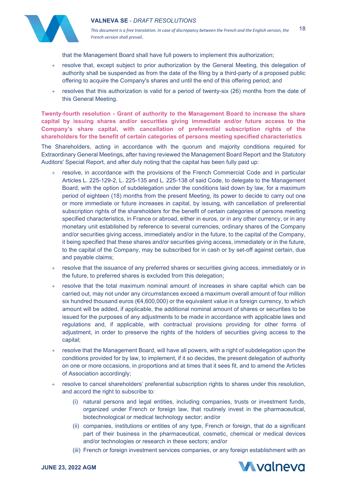

that the Management Board shall have full powers to implement this authorization;

- + resolve that, except subject to prior authorization by the General Meeting, this delegation of authority shall be suspended as from the date of the filing by a third-party of a proposed public offering to acquire the Company's shares and until the end of this offering period; and
- resolves that this authorization is valid for a period of twenty-six (26) months from the date of this General Meeting.

**Twenty-fourth resolution - Grant of authority to the Management Board to increase the share capital by issuing shares and/or securities giving immediate and/or future access to the Company's share capital, with cancellation of preferential subscription rights of the shareholders for the benefit of certain categories of persons meeting specified characteristics**

The Shareholders, acting in accordance with the quorum and majority conditions required for Extraordinary General Meetings, after having reviewed the Management Board Report and the Statutory Auditors' Special Report, and after duly noting that the capital has been fully paid up:

- + resolve, in accordance with the provisions of the French Commercial Code and in particular Articles L. 225-129-2, L. 225-135 and L. 225-138 of said Code, to delegate to the Management Board, with the option of subdelegation under the conditions laid down by law, for a maximum period of eighteen (18) months from the present Meeting, its power to decide to carry out one or more immediate or future increases in capital, by issuing, with cancellation of preferential subscription rights of the shareholders for the benefit of certain categories of persons meeting specified characteristics, in France or abroad, either in euros, or in any other currency, or in any monetary unit established by reference to several currencies, ordinary shares of the Company and/or securities giving access, immediately and/or in the future, to the capital of the Company, it being specified that these shares and/or securities giving access, immediately or in the future, to the capital of the Company, may be subscribed for in cash or by set-off against certain, due and payable claims;
- resolve that the issuance of any preferred shares or securities giving access, immediately or in the future, to preferred shares is excluded from this delegation;
- resolve that the total maximum nominal amount of increases in share capital which can be carried out, may not under any circumstances exceed a maximum overall amount of four million six hundred thousand euros ( $\epsilon$ 4,600,000) or the equivalent value in a foreign currency, to which amount will be added, if applicable, the additional nominal amount of shares or securities to be issued for the purposes of any adjustments to be made in accordance with applicable laws and regulations and, if applicable, with contractual provisions providing for other forms of adjustment, in order to preserve the rights of the holders of securities giving access to the capital;
- + resolve that the Management Board, will have all powers, with a right of subdelegation upon the conditions provided for by law, to implement, if it so decides, the present delegation of authority on one or more occasions, in proportions and at times that it sees fit, and to amend the Articles of Association accordingly;
- + resolve to cancel shareholders' preferential subscription rights to shares under this resolution, and accord the right to subscribe to:
	- (i) natural persons and legal entities, including companies, trusts or investment funds, organized under French or foreign law, that routinely invest in the pharmaceutical, biotechnological or medical technology sector; and/or
	- (ii) companies, institutions or entities of any type, French or foreign, that do a significant part of their business in the pharmaceutical, cosmetic, chemical or medical devices and/or technologies or research in these sectors; and/or
	- (iii) French or foreign investment services companies, or any foreign establishment with an

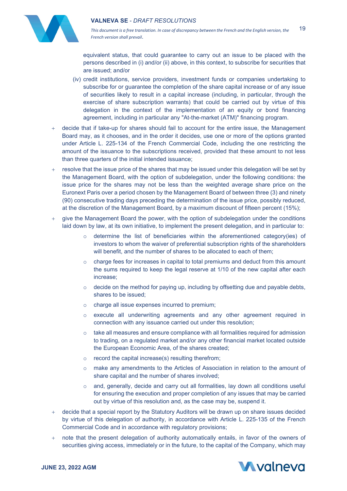

equivalent status, that could guarantee to carry out an issue to be placed with the persons described in (i) and/or (ii) above, in this context, to subscribe for securities that are issued; and/or

- (iv) credit institutions, service providers, investment funds or companies undertaking to subscribe for or guarantee the completion of the share capital increase or of any issue of securities likely to result in a capital increase (including, in particular, through the exercise of share subscription warrants) that could be carried out by virtue of this delegation in the context of the implementation of an equity or bond financing agreement, including in particular any "At-the-market (ATM)" financing program.
- + decide that if take-up for shares should fail to account for the entire issue, the Management Board may, as it chooses, and in the order it decides, use one or more of the options granted under Article L. 225-134 of the French Commercial Code, including the one restricting the amount of the issuance to the subscriptions received, provided that these amount to not less than three quarters of the initial intended issuance;
- resolve that the issue price of the shares that may be issued under this delegation will be set by the Management Board, with the option of subdelegation, under the following conditions: the issue price for the shares may not be less than the weighted average share price on the Euronext Paris over a period chosen by the Management Board of between three (3) and ninety (90) consecutive trading days preceding the determination of the issue price, possibly reduced, at the discretion of the Management Board, by a maximum discount of fifteen percent (15%);
- + give the Management Board the power, with the option of subdelegation under the conditions laid down by law, at its own initiative, to implement the present delegation, and in particular to:
	- $\circ$  determine the list of beneficiaries within the aforementioned category(ies) of investors to whom the waiver of preferential subscription rights of the shareholders will benefit, and the number of shares to be allocated to each of them;
	- $\circ$  charge fees for increases in capital to total premiums and deduct from this amount the sums required to keep the legal reserve at 1/10 of the new capital after each increase;
	- $\circ$  decide on the method for paying up, including by offsetting due and payable debts, shares to be issued;
	- o charge all issue expenses incurred to premium;
	- o execute all underwriting agreements and any other agreement required in connection with any issuance carried out under this resolution;
	- $\circ$  take all measures and ensure compliance with all formalities required for admission to trading, on a regulated market and/or any other financial market located outside the European Economic Area, of the shares created;
	- $\circ$  record the capital increase(s) resulting therefrom;
	- o make any amendments to the Articles of Association in relation to the amount of share capital and the number of shares involved;
	- o and, generally, decide and carry out all formalities, lay down all conditions useful for ensuring the execution and proper completion of any issues that may be carried out by virtue of this resolution and, as the case may be, suspend it.
- decide that a special report by the Statutory Auditors will be drawn up on share issues decided by virtue of this delegation of authority, in accordance with Article L. 225-135 of the French Commercial Code and in accordance with regulatory provisions;
- + note that the present delegation of authority automatically entails, in favor of the owners of securities giving access, immediately or in the future, to the capital of the Company, which may

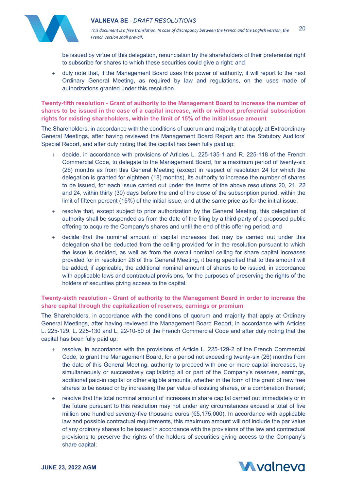



be issued by virtue of this delegation, renunciation by the shareholders of their preferential right to subscribe for shares to which these securities could give a right; and

+ duly note that, if the Management Board uses this power of authority, it will report to the next Ordinary General Meeting, as required by law and regulations, on the uses made of authorizations granted under this resolution.

**Twenty-fifth resolution - Grant of authority to the Management Board to increase the number of shares to be issued in the case of a capital increase, with or without preferential subscription rights for existing shareholders, within the limit of 15% of the initial issue amount**

The Shareholders, in accordance with the conditions of quorum and majority that apply at Extraordinary General Meetings, after having reviewed the Management Board Report and the Statutory Auditors' Special Report, and after duly noting that the capital has been fully paid up:

- decide, in accordance with provisions of Articles L. 225-135-1 and R. 225-118 of the French Commercial Code, to delegate to the Management Board, for a maximum period of twenty-six (26) months as from this General Meeting (except in respect of resolution 24 for which the delegation is granted for eighteen (18) months), its authority to increase the number of shares to be issued, for each issue carried out under the terms of the above resolutions 20, 21, 22 and 24, within thirty (30) days before the end of the close of the subscription period, within the limit of fifteen percent (15%) of the initial issue, and at the same price as for the initial issue;
- + resolve that, except subject to prior authorization by the General Meeting, this delegation of authority shall be suspended as from the date of the filing by a third-party of a proposed public offering to acquire the Company's shares and until the end of this offering period; and
- decide that the nominal amount of capital increases that may be carried out under this delegation shall be deducted from the ceiling provided for in the resolution pursuant to which the issue is decided, as well as from the overall nominal ceiling for share capital increases provided for in resolution 28 of this General Meeting, it being specified that to this amount will be added, if applicable, the additional nominal amount of shares to be issued, in accordance with applicable laws and contractual provisions, for the purposes of preserving the rights of the holders of securities giving access to the capital.

# **Twenty-sixth resolution - Grant of authority to the Management Board in order to increase the share capital through the capitalization of reserves, earnings or premium**

The Shareholders, in accordance with the conditions of quorum and majority that apply at Ordinary General Meetings, after having reviewed the Management Board Report, in accordance with Articles L. 225-129, L. 225-130 and L. 22-10-50 of the French Commercial Code and after duly noting that the capital has been fully paid up:

- + resolve, in accordance with the provisions of Article L. 225-129-2 of the French Commercial Code, to grant the Management Board, for a period not exceeding twenty-six (26) months from the date of this General Meeting, authority to proceed with one or more capital increases, by simultaneously or successively capitalizing all or part of the Company's reserves, earnings, additional paid-in capital or other eligible amounts, whether in the form of the grant of new free shares to be issued or by increasing the par value of existing shares, or a combination thereof;
- resolve that the total nominal amount of increases in share capital carried out immediately or in the future pursuant to this resolution may not under any circumstances exceed a total of five million one hundred seventy-five thousand euros ( $\epsilon$ 5,175,000). In accordance with applicable law and possible contractual requirements, this maximum amount will not include the par value of any ordinary shares to be issued in accordance with the provisions of the law and contractual provisions to preserve the rights of the holders of securities giving access to the Company's share capital;

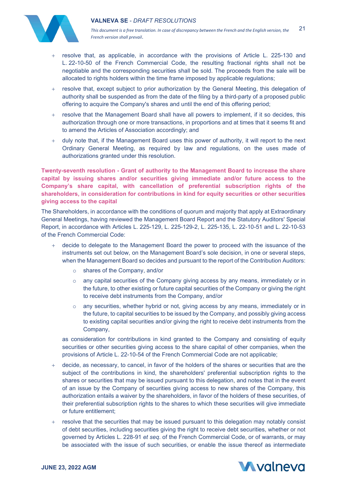

*This document is a free translation. In case of discrepancy between the French and the English version, the French version shall prevail*. 21

- + resolve that, as applicable, in accordance with the provisions of Article L. 225-130 and L. 22-10-50 of the French Commercial Code, the resulting fractional rights shall not be negotiable and the corresponding securities shall be sold. The proceeds from the sale will be allocated to rights holders within the time frame imposed by applicable regulations;
- + resolve that, except subject to prior authorization by the General Meeting, this delegation of authority shall be suspended as from the date of the filing by a third-party of a proposed public offering to acquire the Company's shares and until the end of this offering period;
- + resolve that the Management Board shall have all powers to implement, if it so decides, this authorization through one or more transactions, in proportions and at times that it seems fit and to amend the Articles of Association accordingly; and
- + duly note that, if the Management Board uses this power of authority, it will report to the next Ordinary General Meeting, as required by law and regulations, on the uses made of authorizations granted under this resolution.

**Twenty-seventh resolution - Grant of authority to the Management Board to increase the share capital by issuing shares and/or securities giving immediate and/or future access to the Company's share capital, with cancellation of preferential subscription rights of the shareholders, in consideration for contributions in kind for equity securities or other securities giving access to the capital**

The Shareholders, in accordance with the conditions of quorum and majority that apply at Extraordinary General Meetings, having reviewed the Management Board Report and the Statutory Auditors' Special Report, in accordance with Articles L. 225-129, L. 225-129-2, L. 225-135, L. 22-10-51 and L. 22-10-53 of the French Commercial Code:

- + decide to delegate to the Management Board the power to proceed with the issuance of the instruments set out below, on the Management Board's sole decision, in one or several steps, when the Management Board so decides and pursuant to the report of the Contribution Auditors:
	- o shares of the Company, and/or
	- o any capital securities of the Company giving access by any means, immediately or in the future, to other existing or future capital securities of the Company or giving the right to receive debt instruments from the Company, and/or
	- o any securities, whether hybrid or not, giving access by any means, immediately or in the future, to capital securities to be issued by the Company, and possibly giving access to existing capital securities and/or giving the right to receive debt instruments from the Company,

as consideration for contributions in kind granted to the Company and consisting of equity securities or other securities giving access to the share capital of other companies, when the provisions of Article L. 22-10-54 of the French Commercial Code are not applicable;

- decide, as necessary, to cancel, in favor of the holders of the shares or securities that are the subject of the contributions in kind, the shareholders' preferential subscription rights to the shares or securities that may be issued pursuant to this delegation, and notes that in the event of an issue by the Company of securities giving access to new shares of the Company, this authorization entails a waiver by the shareholders, in favor of the holders of these securities, of their preferential subscription rights to the shares to which these securities will give immediate or future entitlement;
- resolve that the securities that may be issued pursuant to this delegation may notably consist of debt securities, including securities giving the right to receive debt securities, whether or not governed by Articles L. 228-91 *et seq*. of the French Commercial Code, or of warrants, or may be associated with the issue of such securities, or enable the issue thereof as intermediate

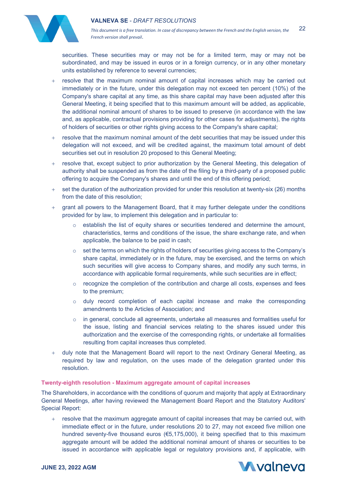

*This document is a free translation. In case of discrepancy between the French and the English version, the French version shall prevail*. 22

securities. These securities may or may not be for a limited term, may or may not be subordinated, and may be issued in euros or in a foreign currency, or in any other monetary units established by reference to several currencies;

- + resolve that the maximum nominal amount of capital increases which may be carried out immediately or in the future, under this delegation may not exceed ten percent (10%) of the Company's share capital at any time, as this share capital may have been adjusted after this General Meeting, it being specified that to this maximum amount will be added, as applicable, the additional nominal amount of shares to be issued to preserve (in accordance with the law and, as applicable, contractual provisions providing for other cases for adjustments), the rights of holders of securities or other rights giving access to the Company's share capital;
- + resolve that the maximum nominal amount of the debt securities that may be issued under this delegation will not exceed, and will be credited against, the maximum total amount of debt securities set out in resolution 20 proposed to this General Meeting;
- + resolve that, except subject to prior authorization by the General Meeting, this delegation of authority shall be suspended as from the date of the filing by a third-party of a proposed public offering to acquire the Company's shares and until the end of this offering period;
- + set the duration of the authorization provided for under this resolution at twenty-six (26) months from the date of this resolution;
- grant all powers to the Management Board, that it may further delegate under the conditions provided for by law, to implement this delegation and in particular to:
	- $\circ$  establish the list of equity shares or securities tendered and determine the amount, characteristics, terms and conditions of the issue, the share exchange rate, and when applicable, the balance to be paid in cash;
	- o set the terms on which the rights of holders of securities giving access to the Company's share capital, immediately or in the future, may be exercised, and the terms on which such securities will give access to Company shares, and modify any such terms, in accordance with applicable formal requirements, while such securities are in effect;
	- $\circ$  recognize the completion of the contribution and charge all costs, expenses and fees to the premium;
	- o duly record completion of each capital increase and make the corresponding amendments to the Articles of Association; and
	- $\circ$  in general, conclude all agreements, undertake all measures and formalities useful for the issue, listing and financial services relating to the shares issued under this authorization and the exercise of the corresponding rights, or undertake all formalities resulting from capital increases thus completed.
- + duly note that the Management Board will report to the next Ordinary General Meeting, as required by law and regulation, on the uses made of the delegation granted under this resolution.

#### **Twenty-eighth resolution - Maximum aggregate amount of capital increases**

The Shareholders, in accordance with the conditions of quorum and majority that apply at Extraordinary General Meetings, after having reviewed the Management Board Report and the Statutory Auditors' Special Report:

+ resolve that the maximum aggregate amount of capital increases that may be carried out, with immediate effect or in the future, under resolutions 20 to 27, may not exceed five million one hundred seventy-five thousand euros (€5,175,000), it being specified that to this maximum aggregate amount will be added the additional nominal amount of shares or securities to be issued in accordance with applicable legal or regulatory provisions and, if applicable, with

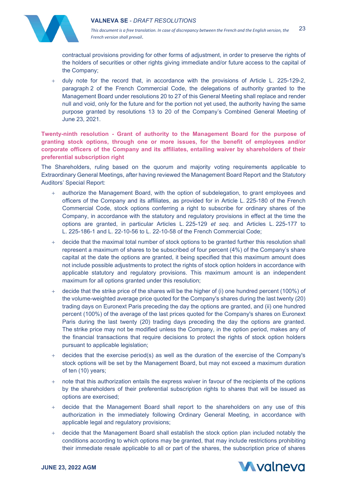



contractual provisions providing for other forms of adjustment, in order to preserve the rights of the holders of securities or other rights giving immediate and/or future access to the capital of the Company;

+ duly note for the record that, in accordance with the provisions of Article L. 225-129-2, paragraph 2 of the French Commercial Code, the delegations of authority granted to the Management Board under resolutions 20 to 27 of this General Meeting shall replace and render null and void, only for the future and for the portion not yet used, the authority having the same purpose granted by resolutions 13 to 20 of the Company's Combined General Meeting of June 23, 2021.

**Twenty-ninth resolution - Grant of authority to the Management Board for the purpose of granting stock options, through one or more issues, for the benefit of employees and/or corporate officers of the Company and its affiliates, entailing waiver by shareholders of their preferential subscription right**

The Shareholders, ruling based on the quorum and majority voting requirements applicable to Extraordinary General Meetings, after having reviewed the Management Board Report and the Statutory Auditors' Special Report:

- + authorize the Management Board, with the option of subdelegation, to grant employees and officers of the Company and its affiliates, as provided for in Article L. 225-180 of the French Commercial Code, stock options conferring a right to subscribe for ordinary shares of the Company, in accordance with the statutory and regulatory provisions in effect at the time the options are granted, in particular Articles L. 225-129 *et seq.* and Articles L. 225-177 to L. 225-186-1 and L. 22-10-56 to L. 22-10-58 of the French Commercial Code;
- + decide that the maximal total number of stock options to be granted further this resolution shall represent a maximum of shares to be subscribed of four percent (4%) of the Company's share capital at the date the options are granted, it being specified that this maximum amount does not include possible adjustments to protect the rights of stock option holders in accordance with applicable statutory and regulatory provisions. This maximum amount is an independent maximum for all options granted under this resolution;
- $+$  decide that the strike price of the shares will be the higher of (i) one hundred percent (100%) of the volume-weighted average price quoted for the Company's shares during the last twenty (20) trading days on Euronext Paris preceding the day the options are granted, and (ii) one hundred percent (100%) of the average of the last prices quoted for the Company's shares on Euronext Paris during the last twenty (20) trading days preceding the day the options are granted. The strike price may not be modified unless the Company, in the option period, makes any of the financial transactions that require decisions to protect the rights of stock option holders pursuant to applicable legislation;
- + decides that the exercise period(s) as well as the duration of the exercise of the Company's stock options will be set by the Management Board, but may not exceed a maximum duration of ten (10) years;
- + note that this authorization entails the express waiver in favour of the recipients of the options by the shareholders of their preferential subscription rights to shares that will be issued as options are exercised;
- + decide that the Management Board shall report to the shareholders on any use of this authorization in the immediately following Ordinary General Meeting, in accordance with applicable legal and regulatory provisions;
- + decide that the Management Board shall establish the stock option plan included notably the conditions according to which options may be granted, that may include restrictions prohibiting their immediate resale applicable to all or part of the shares, the subscription price of shares

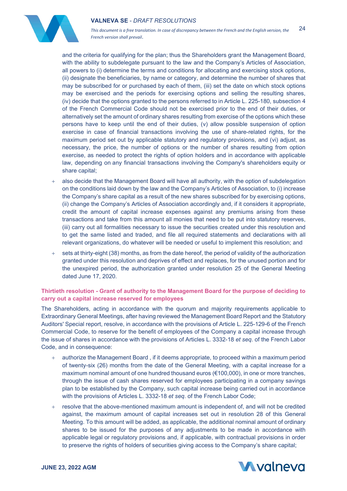

*This document is a free translation. In case of discrepancy between the French and the English version, the French version shall prevail*. 24

and the criteria for qualifying for the plan; thus the Shareholders grant the Management Board, with the ability to subdelegate pursuant to the law and the Company's Articles of Association, all powers to (i) determine the terms and conditions for allocating and exercising stock options, (ii) designate the beneficiaries, by name or category, and determine the number of shares that may be subscribed for or purchased by each of them, (iii) set the date on which stock options may be exercised and the periods for exercising options and selling the resulting shares, (iv) decide that the options granted to the persons referred to in Article L. 225-180, subsection 4 of the French Commercial Code should not be exercised prior to the end of their duties, or alternatively set the amount of ordinary shares resulting from exercise of the options which these persons have to keep until the end of their duties, (v) allow possible suspension of option exercise in case of financial transactions involving the use of share-related rights, for the maximum period set out by applicable statutory and regulatory provisions, and (vi) adjust, as necessary, the price, the number of options or the number of shares resulting from option exercise, as needed to protect the rights of option holders and in accordance with applicable law, depending on any financial transactions involving the Company's shareholders equity or share capital;

- also decide that the Management Board will have all authority, with the option of subdelegation on the conditions laid down by the law and the Company's Articles of Association, to (i) increase the Company's share capital as a result of the new shares subscribed for by exercising options, (ii) change the Company's Articles of Association accordingly and, if it considers it appropriate, credit the amount of capital increase expenses against any premiums arising from these transactions and take from this amount all monies that need to be put into statutory reserves, (iii) carry out all formalities necessary to issue the securities created under this resolution and to get the same listed and traded, and file all required statements and declarations with all relevant organizations, do whatever will be needed or useful to implement this resolution; and
- sets at thirty-eight (38) months, as from the date hereof, the period of validity of the authorization granted under this resolution and deprives of effect and replaces, for the unused portion and for the unexpired period, the authorization granted under resolution 25 of the General Meeting dated June 17, 2020.

## **Thirtieth resolution - Grant of authority to the Management Board for the purpose of deciding to carry out a capital increase reserved for employees**

The Shareholders, acting in accordance with the quorum and majority requirements applicable to Extraordinary General Meetings, after having reviewed the Management Board Report and the Statutory Auditors' Special report, resolve, in accordance with the provisions of Article L. 225-129-6 of the French Commercial Code, to reserve for the benefit of employees of the Company a capital increase through the issue of shares in accordance with the provisions of Articles L. 3332-18 *et seq*. of the French Labor Code, and in consequence:

- authorize the Management Board, if it deems appropriate, to proceed within a maximum period of twenty-six (26) months from the date of the General Meeting, with a capital increase for a maximum nominal amount of one hundred thousand euros (€100,000), in one or more tranches, through the issue of cash shares reserved for employees participating in a company savings plan to be established by the Company, such capital increase being carried out in accordance with the provisions of Articles L. 3332-18 *et seq*. of the French Labor Code;
- + resolve that the above-mentioned maximum amount is independent of, and will not be credited against, the maximum amount of capital increases set out in resolution 28 of this General Meeting. To this amount will be added, as applicable, the additional nominal amount of ordinary shares to be issued for the purposes of any adjustments to be made in accordance with applicable legal or regulatory provisions and, if applicable, with contractual provisions in order to preserve the rights of holders of securities giving access to the Company's share capital;

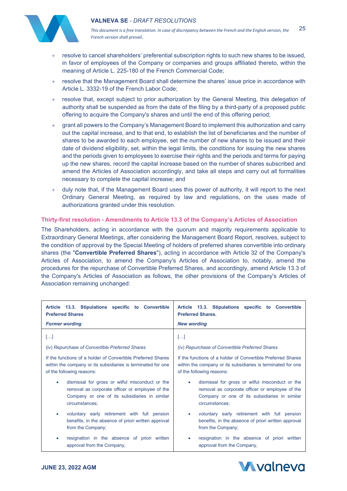

*This document is a free translation. In case of discrepancy between the French and the English version, the French version shall prevail*. 25

- + resolve to cancel shareholders' preferential subscription rights to such new shares to be issued, in favor of employees of the Company or companies and groups affiliated thereto, within the meaning of Article L. 225-180 of the French Commercial Code;
- + resolve that the Management Board shall determine the shares' issue price in accordance with Article L. 3332-19 of the French Labor Code;
- + resolve that, except subject to prior authorization by the General Meeting, this delegation of authority shall be suspended as from the date of the filing by a third-party of a proposed public offering to acquire the Company's shares and until the end of this offering period;
- + grant all powers to the Company's Management Board to implement this authorization and carry out the capital increase, and to that end, to establish the list of beneficiaries and the number of shares to be awarded to each employee, set the number of new shares to be issued and their date of dividend eligibility, set, within the legal limits, the conditions for issuing the new shares and the periods given to employees to exercise their rights and the periods and terms for paying up the new shares, record the capital increase based on the number of shares subscribed and amend the Articles of Association accordingly, and take all steps and carry out all formalities necessary to complete the capital increase; and
- duly note that, if the Management Board uses this power of authority, it will report to the next Ordinary General Meeting, as required by law and regulations, on the uses made of authorizations granted under this resolution.

## **Thirty-first resolution - Amendments to Article 13.3 of the Company's Articles of Association**

The Shareholders, acting in accordance with the quorum and majority requirements applicable to Extraordinary General Meetings, after considering the Management Board Report, resolves, subject to the condition of approval by the Special Meeting of holders of preferred shares convertible into ordinary shares (the "**Convertible Preferred Shares**"), acting in accordance with Article 32 of the Company's Articles of Association, to amend the Company's Articles of Association to, notably, amend the procedures for the repurchase of Convertible Preferred Shares, and accordingly, amend Article 13.3 of the Company's Articles of Association as follows, the other provisions of the Company's Articles of Association remaining unchanged:

| Article 13.3. Stipulations specific to Convertible           | Article 13.3. Stipulations specific to Convertible           |
|--------------------------------------------------------------|--------------------------------------------------------------|
| <b>Preferred Shares</b>                                      | <b>Preferred Shares.</b>                                     |
| <b>Former wording</b>                                        | <b>New wording</b>                                           |
| $[]$                                                         | $[]$                                                         |
| (iv) Repurchase of Convertible Preferred Shares              | (iv) Repurchase of Convertible Preferred Shares              |
| If the functions of a holder of Convertible Preferred Shares | If the functions of a holder of Convertible Preferred Shares |
| within the company or its subsidiaries is terminated for one | within the company or its subsidiaries is terminated for one |
| of the following reasons:                                    | of the following reasons:                                    |
| dismissal for gross or wilful misconduct or the              | dismissal for gross or wilful misconduct or the              |
| $\bullet$                                                    | $\bullet$                                                    |
| removal as corporate officer or employee of the              | removal as corporate officer or employee of the              |
| Company or one of its subsidiaries in similar                | Company or one of its subsidiaries in similar                |
| circumstances;                                               | circumstances;                                               |
| voluntary early retirement with full pension                 | voluntary early retirement with full pension                 |
| $\bullet$                                                    | ۰                                                            |
| benefits, in the absence of priori written approval          | benefits, in the absence of priori written approval          |
| from the Company;                                            | from the Company;                                            |
| resignation in the absence of priori written                 | resignation in the absence of priori written                 |
| $\bullet$                                                    | ۰                                                            |
| approval from the Company,                                   | approval from the Company,                                   |

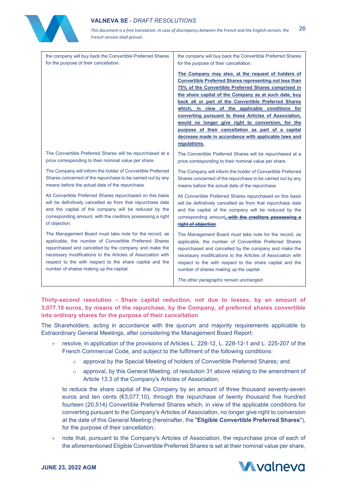

*This document is a free translation. In case of discrepancy between the French and the English version, the French version shall prevail*. 26

| the company will buy back the Convertible Preferred Shares  | the company will buy back the Convertible Preferred Shares                                                                                                                                                                                                                                                                                                                                                                                                                                                                                                                                   |
|-------------------------------------------------------------|----------------------------------------------------------------------------------------------------------------------------------------------------------------------------------------------------------------------------------------------------------------------------------------------------------------------------------------------------------------------------------------------------------------------------------------------------------------------------------------------------------------------------------------------------------------------------------------------|
| for the purpose of their cancellation.                      | for the purpose of their cancellation.                                                                                                                                                                                                                                                                                                                                                                                                                                                                                                                                                       |
|                                                             | The Company may also, at the request of holders of<br><b>Convertible Preferred Shares representing not less than</b><br>75% of the Convertible Preferred Shares comprised in<br>the share capital of the Company as at such date, buy<br>back all or part of the Convertible Preferred Shares<br>which, in view of the applicable conditions for<br>converting pursuant to these Articles of Association,<br>would no longer give right to conversion, for the<br>purpose of their cancellation as part of a capital<br>decrease made in accordance with applicable laws and<br>regulations. |
| The Convertible Preferred Shares will be repurchased at a   | The Convertible Preferred Shares will be repurchased at a                                                                                                                                                                                                                                                                                                                                                                                                                                                                                                                                    |
| price corresponding to their nominal value per share.       | price corresponding to their nominal value per share.                                                                                                                                                                                                                                                                                                                                                                                                                                                                                                                                        |
| The Company will inform the holder of Convertible Preferred | The Company will inform the holder of Convertible Preferred                                                                                                                                                                                                                                                                                                                                                                                                                                                                                                                                  |
| Shares concerned of the repurchase to be carried out by any | Shares concerned of the repurchase to be carried out by any                                                                                                                                                                                                                                                                                                                                                                                                                                                                                                                                  |
| means before the actual date of the repurchase.             | means before the actual date of the repurchase.                                                                                                                                                                                                                                                                                                                                                                                                                                                                                                                                              |
| All Convertible Preferred Shares repurchased on this basis  | All Convertible Preferred Shares repurchased on this basis                                                                                                                                                                                                                                                                                                                                                                                                                                                                                                                                   |
| will be definitively cancelled as from that repurchase date | will be definitively cancelled as from that repurchase date                                                                                                                                                                                                                                                                                                                                                                                                                                                                                                                                  |
| and the capital of the company will be reduced by the       | and the capital of the company will be reduced by the                                                                                                                                                                                                                                                                                                                                                                                                                                                                                                                                        |
| corresponding amount, with the creditors possessing a right | corresponding amount, with the creditors possessing a                                                                                                                                                                                                                                                                                                                                                                                                                                                                                                                                        |
| of objection.                                               | right of objection.                                                                                                                                                                                                                                                                                                                                                                                                                                                                                                                                                                          |
| The Management Board must take note for the record, as      | The Management Board must take note for the record, as                                                                                                                                                                                                                                                                                                                                                                                                                                                                                                                                       |
| applicable, the number of Convertible Preferred Shares      | applicable, the number of Convertible Preferred Shares                                                                                                                                                                                                                                                                                                                                                                                                                                                                                                                                       |
| repurchased and cancelled by the company and make the       | repurchased and cancelled by the company and make the                                                                                                                                                                                                                                                                                                                                                                                                                                                                                                                                        |
| necessary modifications to the Articles of Association with | necessary modifications to the Articles of Association with                                                                                                                                                                                                                                                                                                                                                                                                                                                                                                                                  |
| respect to the with respect to the share capital and the    | respect to the with respect to the share capital and the                                                                                                                                                                                                                                                                                                                                                                                                                                                                                                                                     |
| number of shares making up the capital.                     | number of shares making up the capital.                                                                                                                                                                                                                                                                                                                                                                                                                                                                                                                                                      |
|                                                             | The other paragraphs remain unchanged.                                                                                                                                                                                                                                                                                                                                                                                                                                                                                                                                                       |

**Thirty-second resolution - Share capital reduction, not due to losses, by an amount of 3,077.10 euros, by means of the repurchase, by the Company, of preferred shares convertible into ordinary shares for the purpose of their cancellation**

The Shareholders, acting in accordance with the quorum and majority requirements applicable to Extraordinary General Meetings, after considering the Management Board Report:

- + resolve, in application of the provisions of Articles L. 228-12, L. 228-12-1 and L. 225-207 of the French Commercial Code, and subject to the fulfilment of the following conditions:
	- o approval by the Special Meeting of holders of Convertible Preferred Shares; and
	- $\circ$  approval, by this General Meeting, of resolution 31 above relating to the amendment of Article 13.3 of the Company's Articles of Association,

to reduce the share capital of the Company by an amount of three thousand seventy-seven euros and ten cents (€3,077.10), through the repurchase of twenty thousand five hundred fourteen (20,514) Convertible Preferred Shares which, in view of the applicable conditions for converting pursuant to the Company's Articles of Association, no longer give right to conversion at the date of this General Meeting (hereinafter, the "**Eligible Convertible Preferred Shares**"), for the purpose of their cancellation;

note that, pursuant to the Company's Articles of Association, the repurchase price of each of the aforementioned Eligible Convertible Preferred Shares is set at their nominal value per share,